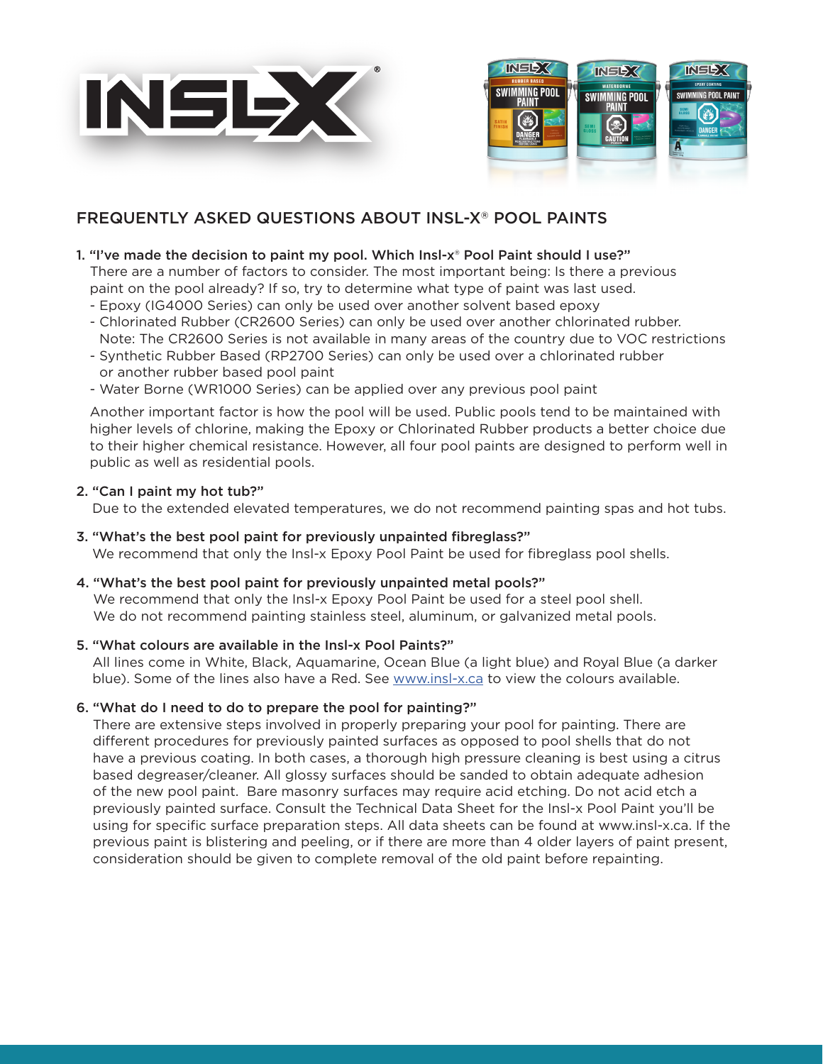



# FREQUENTLY ASKED QUESTIONS ABOUT INSL-X® POOL PAINTS

# 1. "I've made the decision to paint my pool. Which Insl-x® Pool Paint should I use?"

There are a number of factors to consider. The most important being: Is there a previous paint on the pool already? If so, try to determine what type of paint was last used.

- Epoxy (IG4000 Series) can only be used over another solvent based epoxy
- Chlorinated Rubber (CR2600 Series) can only be used over another chlorinated rubber. Note: The CR2600 Series is not available in many areas of the country due to VOC restrictions
- Synthetic Rubber Based (RP2700 Series) can only be used over a chlorinated rubber or another rubber based pool paint
- Water Borne (WR1000 Series) can be applied over any previous pool paint

Another important factor is how the pool will be used. Public pools tend to be maintained with higher levels of chlorine, making the Epoxy or Chlorinated Rubber products a better choice due to their higher chemical resistance. However, all four pool paints are designed to perform well in public as well as residential pools.

# 2. "Can I paint my hot tub?"

Due to the extended elevated temperatures, we do not recommend painting spas and hot tubs.

- 3. "What's the best pool paint for previously unpainted fibreglass?" We recommend that only the Insl-x Epoxy Pool Paint be used for fibreglass pool shells.
- 4. "What's the best pool paint for previously unpainted metal pools?"

We recommend that only the Insl-x Epoxy Pool Paint be used for a steel pool shell. We do not recommend painting stainless steel, aluminum, or galvanized metal pools.

# 5. "What colours are available in the Insl-x Pool Paints?"

All lines come in White, Black, Aquamarine, Ocean Blue (a light blue) and Royal Blue (a darker blue). Some of the lines also have a Red. See [www.insl-x.c](http://insl-x.ca/en-ca)a to view the colours available.

# 6. "What do I need to do to prepare the pool for painting?"

There are extensive steps involved in properly preparing your pool for painting. There are different procedures for previously painted surfaces as opposed to pool shells that do not have a previous coating. In both cases, a thorough high pressure cleaning is best using a citrus based degreaser/cleaner. All glossy surfaces should be sanded to obtain adequate adhesion of the new pool paint. Bare masonry surfaces may require acid etching. Do not acid etch a previously painted surface. Consult the Technical Data Sheet for the Insl-x Pool Paint you'll be using for specific surface preparation steps. All data sheets can be found at www.insl-x.ca. If the previous paint is blistering and peeling, or if there are more than 4 older layers of paint present, consideration should be given to complete removal of the old paint before repainting.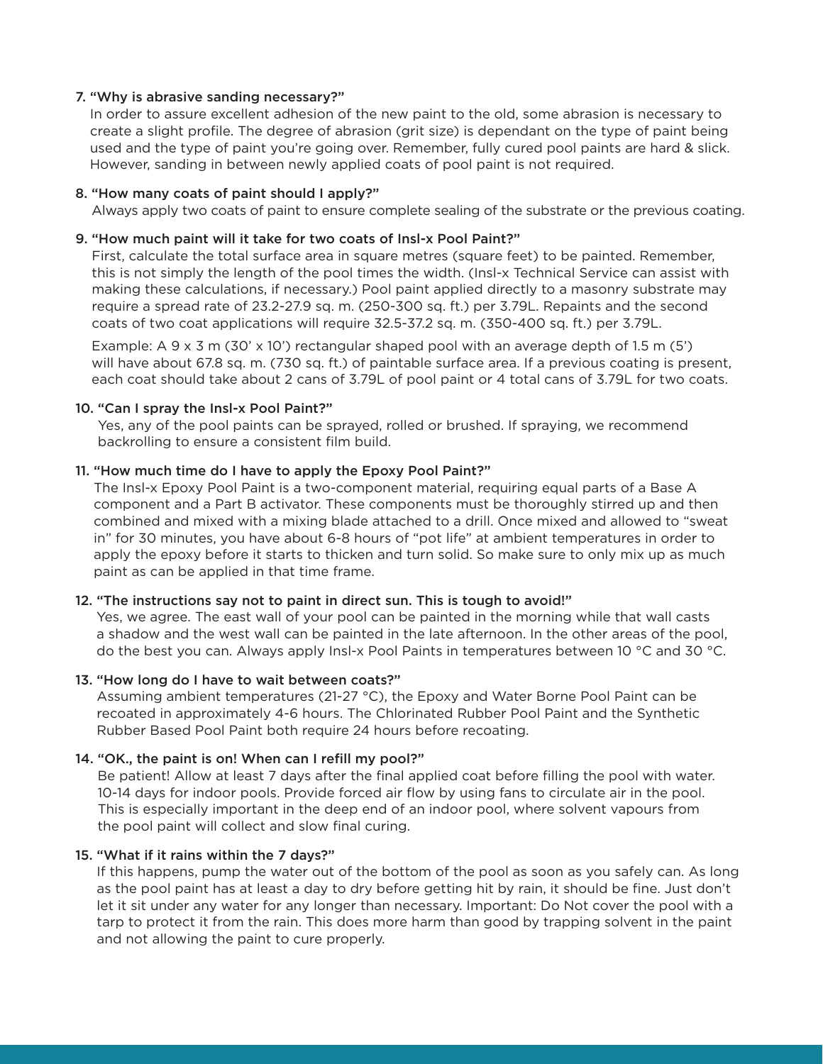## 7. "Why is abrasive sanding necessary?"

In order to assure excellent adhesion of the new paint to the old, some abrasion is necessary to create a slight profile. The degree of abrasion (grit size) is dependant on the type of paint being used and the type of paint you're going over. Remember, fully cured pool paints are hard & slick. However, sanding in between newly applied coats of pool paint is not required.

#### 8. "How many coats of paint should I apply?"

Always apply two coats of paint to ensure complete sealing of the substrate or the previous coating.

## 9. "How much paint will it take for two coats of Insl-x Pool Paint?"

First, calculate the total surface area in square metres (square feet) to be painted. Remember, this is not simply the length of the pool times the width. (Insl-x Technical Service can assist with making these calculations, if necessary.) Pool paint applied directly to a masonry substrate may require a spread rate of 23.2-27.9 sq. m. (250-300 sq. ft.) per 3.79L. Repaints and the second coats of two coat applications will require 32.5-37.2 sq. m. (350-400 sq. ft.) per 3.79L.

Example:  $A \ 9 \times 3$  m (30'  $\times$  10') rectangular shaped pool with an average depth of 1.5 m (5') will have about 67.8 sq. m. (730 sq. ft.) of paintable surface area. If a previous coating is present, each coat should take about 2 cans of 3.79L of pool paint or 4 total cans of 3.79L for two coats.

## 10. "Can I spray the Insl-x Pool Paint?"

Yes, any of the pool paints can be sprayed, rolled or brushed. If spraying, we recommend backrolling to ensure a consistent film build.

## 11. "How much time do I have to apply the Epoxy Pool Paint?"

The Insl-x Epoxy Pool Paint is a two-component material, requiring equal parts of a Base A component and a Part B activator. These components must be thoroughly stirred up and then combined and mixed with a mixing blade attached to a drill. Once mixed and allowed to "sweat in" for 30 minutes, you have about 6-8 hours of "pot life" at ambient temperatures in order to apply the epoxy before it starts to thicken and turn solid. So make sure to only mix up as much paint as can be applied in that time frame.

# 12. "The instructions say not to paint in direct sun. This is tough to avoid!"

Yes, we agree. The east wall of your pool can be painted in the morning while that wall casts a shadow and the west wall can be painted in the late afternoon. In the other areas of the pool, do the best you can. Always apply Insl-x Pool Paints in temperatures between 10 °C and 30 °C.

#### 13. "How long do I have to wait between coats?"

Assuming ambient temperatures (21-27 °C), the Epoxy and Water Borne Pool Paint can be recoated in approximately 4-6 hours. The Chlorinated Rubber Pool Paint and the Synthetic Rubber Based Pool Paint both require 24 hours before recoating.

# 14. "OK., the paint is on! When can I refill my pool?"

Be patient! Allow at least 7 days after the final applied coat before filling the pool with water. 10-14 days for indoor pools. Provide forced air flow by using fans to circulate air in the pool. This is especially important in the deep end of an indoor pool, where solvent vapours from the pool paint will collect and slow final curing.

# 15. "What if it rains within the 7 days?"

If this happens, pump the water out of the bottom of the pool as soon as you safely can. As long as the pool paint has at least a day to dry before getting hit by rain, it should be fine. Just don't let it sit under any water for any longer than necessary. Important: Do Not cover the pool with a tarp to protect it from the rain. This does more harm than good by trapping solvent in the paint and not allowing the paint to cure properly.